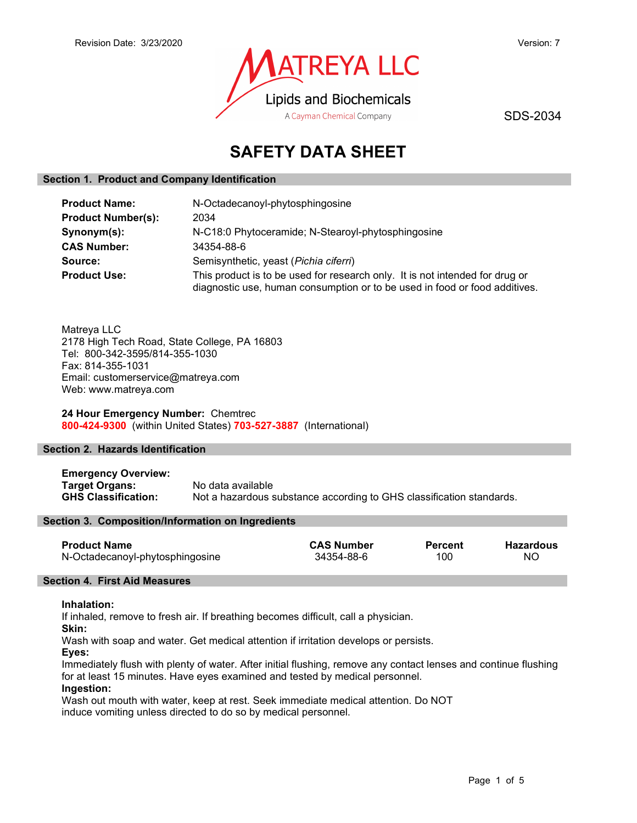

SDS-2034

# SAFETY DATA SHEET

# Section 1. Product and Company Identification

| <b>Product Name:</b>      | N-Octadecanoyl-phytosphingosine                                                                                                                            |  |  |
|---------------------------|------------------------------------------------------------------------------------------------------------------------------------------------------------|--|--|
| <b>Product Number(s):</b> | 2034                                                                                                                                                       |  |  |
| Synonym(s):               | N-C18:0 Phytoceramide; N-Stearoyl-phytosphingosine                                                                                                         |  |  |
| <b>CAS Number:</b>        | 34354-88-6                                                                                                                                                 |  |  |
| Source:                   | Semisynthetic, yeast (Pichia ciferri)                                                                                                                      |  |  |
| <b>Product Use:</b>       | This product is to be used for research only. It is not intended for drug or<br>diagnostic use, human consumption or to be used in food or food additives. |  |  |

Matreya LLC 2178 High Tech Road, State College, PA 16803 Tel: 800-342-3595/814-355-1030 Fax: 814-355-1031 Email: customerservice@matreya.com Web: www.matreya.com

# 24 Hour Emergency Number: Chemtrec 800-424-9300 (within United States) 703-527-3887 (International)

# Section 2. Hazards Identification

Emergency Overview: Target Organs: No data available GHS Classification: Not a hazardous substance according to GHS classification standards.

# Section 3. Composition/Information on Ingredients

| <b>Product Name</b>             | <b>CAS Number</b> | <b>Percent</b> | <b>Hazardous</b> |
|---------------------------------|-------------------|----------------|------------------|
| N-Octadecanoyl-phytosphingosine | 34354-88-6        | 100            | NO               |

# Section 4. First Aid Measures

#### Inhalation:

If inhaled, remove to fresh air. If breathing becomes difficult, call a physician.

Skin:

Wash with soap and water. Get medical attention if irritation develops or persists.

Eyes:

Immediately flush with plenty of water. After initial flushing, remove any contact lenses and continue flushing for at least 15 minutes. Have eyes examined and tested by medical personnel.

#### Ingestion:

Wash out mouth with water, keep at rest. Seek immediate medical attention. Do NOT induce vomiting unless directed to do so by medical personnel.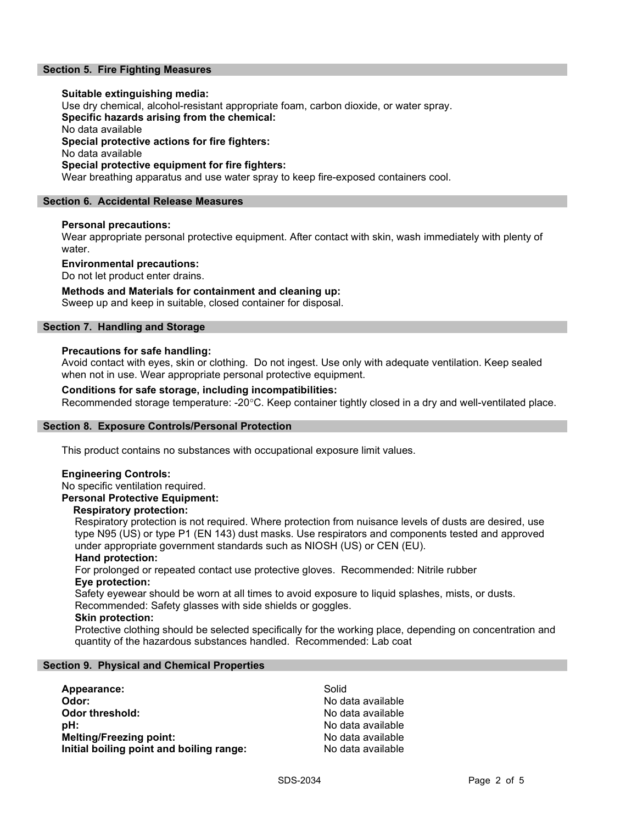# Section 5. Fire Fighting Measures

#### Suitable extinguishing media:

Use dry chemical, alcohol-resistant appropriate foam, carbon dioxide, or water spray.

Specific hazards arising from the chemical:

No data available

Special protective actions for fire fighters:

No data available

# Special protective equipment for fire fighters:

Wear breathing apparatus and use water spray to keep fire-exposed containers cool.

# Section 6. Accidental Release Measures

# Personal precautions:

Wear appropriate personal protective equipment. After contact with skin, wash immediately with plenty of water.

#### Environmental precautions:

Do not let product enter drains.

# Methods and Materials for containment and cleaning up:

Sweep up and keep in suitable, closed container for disposal.

# Section 7. Handling and Storage

# Precautions for safe handling:

Avoid contact with eyes, skin or clothing. Do not ingest. Use only with adequate ventilation. Keep sealed when not in use. Wear appropriate personal protective equipment.

# Conditions for safe storage, including incompatibilities:

Recommended storage temperature: -20°C. Keep container tightly closed in a dry and well-ventilated place.

# Section 8. Exposure Controls/Personal Protection

This product contains no substances with occupational exposure limit values.

# Engineering Controls:

No specific ventilation required.

# Personal Protective Equipment:

#### Respiratory protection:

Respiratory protection is not required. Where protection from nuisance levels of dusts are desired, use type N95 (US) or type P1 (EN 143) dust masks. Use respirators and components tested and approved under appropriate government standards such as NIOSH (US) or CEN (EU).

#### Hand protection:

For prolonged or repeated contact use protective gloves. Recommended: Nitrile rubber Eye protection:

Safety eyewear should be worn at all times to avoid exposure to liquid splashes, mists, or dusts. Recommended: Safety glasses with side shields or goggles.

#### Skin protection:

Protective clothing should be selected specifically for the working place, depending on concentration and quantity of the hazardous substances handled. Recommended: Lab coat

# Section 9. Physical and Chemical Properties

| Appearance:                              | Solid             |
|------------------------------------------|-------------------|
| Odor:                                    | No data available |
| Odor threshold:                          | No data available |
| :bH                                      | No data available |
| <b>Melting/Freezing point:</b>           | No data available |
| Initial boiling point and boiling range: | No data available |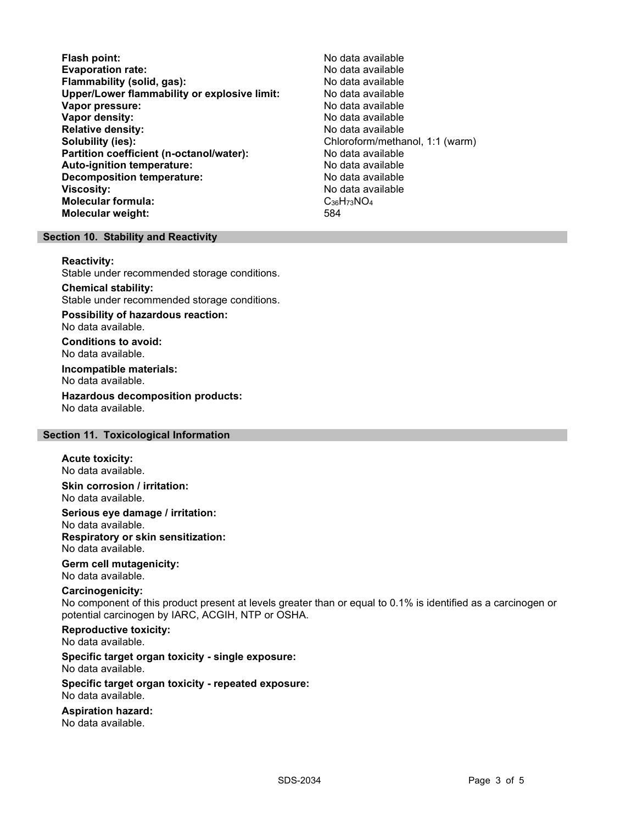- Flash point:<br>
Evaporation rate:<br>
Evaporation rate: No data available Evaporation rate: No data available Flammability (solid, gas): Upper/Lower flammability or explosive limit: No data available Vapor pressure: No data available **Vapor density:** No data available in the set of the set of the No data available Relative density: No data available Solubility (ies): Chloroform/methanol, 1:1 (warm) Partition coefficient (n-octanol/water): No data available Auto-ignition temperature:  $\begin{array}{ccc} \text{Auto-ignition temperature:} & \text{No data available} \end{array}$ Decomposition temperature: **Viscosity:** No data available in the set of the set of the set of the set of the set of the set of the set of the set of the set of the set of the set of the set of the set of the set of the set of the set of the set of t Molecular formula:  $\text{C}_{36}H_{73}NO_4$ <br>Molecular weight:  $584$ Molecular weight:
	-

# Section 10. Stability and Reactivity

#### Reactivity:

Stable under recommended storage conditions.

#### Chemical stability: Stable under recommended storage conditions.

Possibility of hazardous reaction: No data available.

Conditions to avoid: No data available.

Incompatible materials: No data available.

Hazardous decomposition products: No data available.

# Section 11. Toxicological Information

# Acute toxicity:

No data available.

Skin corrosion / irritation: No data available.

Serious eye damage / irritation: No data available. Respiratory or skin sensitization: No data available.

# Germ cell mutagenicity:

No data available.

# Carcinogenicity:

No component of this product present at levels greater than or equal to 0.1% is identified as a carcinogen or potential carcinogen by IARC, ACGIH, NTP or OSHA.

Reproductive toxicity: No data available.

Specific target organ toxicity - single exposure: No data available.

#### Specific target organ toxicity - repeated exposure: No data available.

Aspiration hazard: No data available.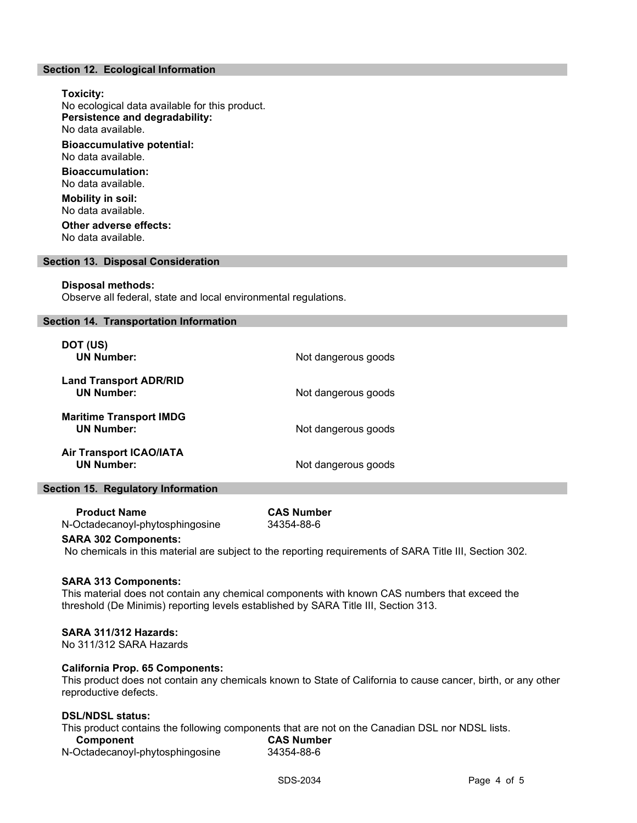# Section 12. Ecological Information

Toxicity: No ecological data available for this product. Persistence and degradability: No data available. Bioaccumulative potential: No data available. Bioaccumulation: No data available. Mobility in soil: No data available.

Other adverse effects: No data available.

#### Section 13. Disposal Consideration

#### Disposal methods:

Observe all federal, state and local environmental regulations.

#### Section 14. Transportation Information

| DOT (US)<br><b>UN Number:</b>                       | Not dangerous goods |
|-----------------------------------------------------|---------------------|
| <b>Land Transport ADR/RID</b><br><b>UN Number:</b>  | Not dangerous goods |
| <b>Maritime Transport IMDG</b><br><b>UN Number:</b> | Not dangerous goods |
| <b>Air Transport ICAO/IATA</b><br><b>UN Number:</b> | Not dangerous goods |

### Section 15. Regulatory Information

 Product Name CAS Number N-Octadecanoyl-phytosphingosine 34354-88-6

### SARA 302 Components:

No chemicals in this material are subject to the reporting requirements of SARA Title III, Section 302.

#### SARA 313 Components:

This material does not contain any chemical components with known CAS numbers that exceed the threshold (De Minimis) reporting levels established by SARA Title III, Section 313.

#### SARA 311/312 Hazards:

No 311/312 SARA Hazards

### California Prop. 65 Components:

This product does not contain any chemicals known to State of California to cause cancer, birth, or any other reproductive defects.

#### DSL/NDSL status:

This product contains the following components that are not on the Canadian DSL nor NDSL lists.

| Component                       | <b>CAS Number</b> |  |
|---------------------------------|-------------------|--|
| N-Octadecanoyl-phytosphingosine | 34354-88-6        |  |